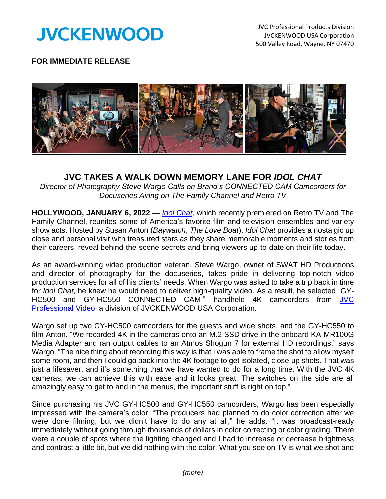

## **FOR IMMEDIATE RELEASE**



## **JVC TAKES A WALK DOWN MEMORY LANE FOR** *IDOL CHAT*

*Director of Photography Steve Wargo Calls on Brand's CONNECTED CAM Camcorders for Docuseries Airing on The Family Channel and Retro TV* 

**HOLLYWOOD, JANUARY 6, 2022** — *[Idol Chat,](http://idolchat.tv/)* which recently premiered on Retro TV and The Family Channel, reunites some of America's favorite film and television ensembles and variety show acts. Hosted by Susan Anton (*Baywatch*, *The Love Boat*), *Idol Chat* provides a nostalgic up close and personal visit with treasured stars as they share memorable moments and stories from their careers, reveal behind-the-scene secrets and bring viewers up-to-date on their life today.

As an award-winning video production veteran, Steve Wargo, owner of SWAT HD Productions and director of photography for the docuseries, takes pride in delivering top-notch video production services for all of his clients' needs. When Wargo was asked to take a trip back in time for *Idol Chat*, he knew he would need to deliver high-quality video. As a result, he selected GY-HC500 and GY-HC550 CONNECTED CAM™ handheld 4K camcorders from [JVC](http://pro.jvc.com/prof/main.jsp)  [Professional](http://pro.jvc.com/prof/main.jsp) Video, a division of JVCKENWOOD USA Corporation.

Wargo set up two GY-HC500 camcorders for the guests and wide shots, and the GY-HC550 to film Anton. "We recorded 4K in the cameras onto an M.2 SSD drive in the onboard KA-MR100G Media Adapter and ran output cables to an Atmos Shogun 7 for external HD recordings," says Wargo. "The nice thing about recording this way is that I was able to frame the shot to allow myself some room, and then I could go back into the 4K footage to get isolated, close-up shots. That was just a lifesaver, and it's something that we have wanted to do for a long time. With the JVC 4K cameras, we can achieve this with ease and it looks great. The switches on the side are all amazingly easy to get to and in the menus, the important stuff is right on top."

Since purchasing his JVC GY-HC500 and GY-HC550 camcorders, Wargo has been especially impressed with the camera's color. "The producers had planned to do color correction after we were done filming, but we didn't have to do any at all," he adds. "It was broadcast-ready immediately without going through thousands of dollars in color correcting or color grading. There were a couple of spots where the lighting changed and I had to increase or decrease brightness and contrast a little bit, but we did nothing with the color. What you see on TV is what we shot and